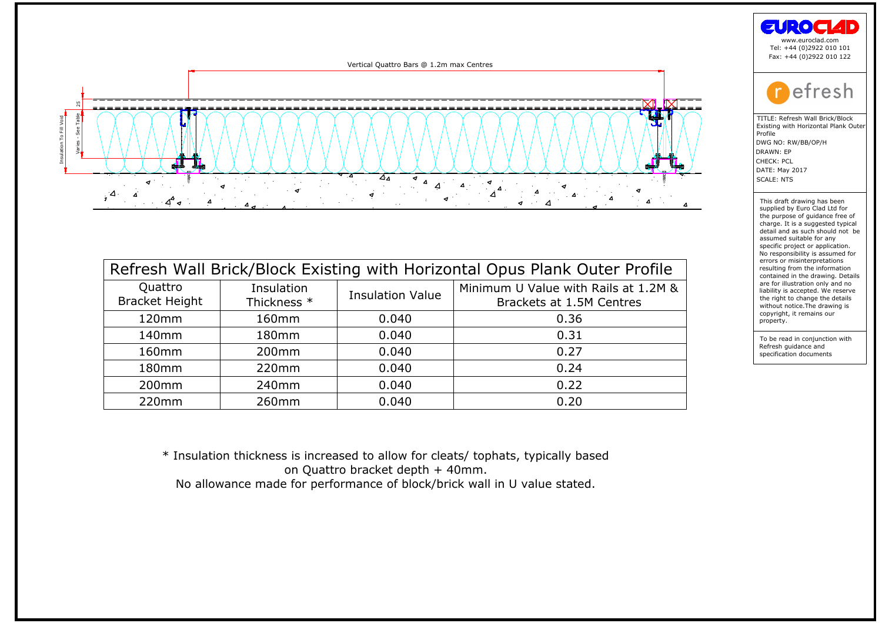

| Quattro<br><b>Bracket Height</b> | Insulation<br>Thickness * | <b>Insulation Value</b> | Minimum U Value with Rails at 1.2M &<br>Brackets at 1.5M Centres |
|----------------------------------|---------------------------|-------------------------|------------------------------------------------------------------|
| 120mm                            | 160mm                     | 0.040                   | 0.36                                                             |
| 140mm                            | 180mm                     | 0.040                   | 0.31                                                             |
| 160 <sub>mm</sub>                | 200 <sub>mm</sub>         | 0.040                   | 0.27                                                             |
| 180 <sub>mm</sub>                | 220mm                     | 0.040                   | 0.24                                                             |
| 200 <sub>mm</sub>                | 240 <sub>mm</sub>         | 0.040                   | 0.22                                                             |
| 220mm                            | 260mm                     | 0.040                   | 0.20                                                             |
|                                  |                           |                         |                                                                  |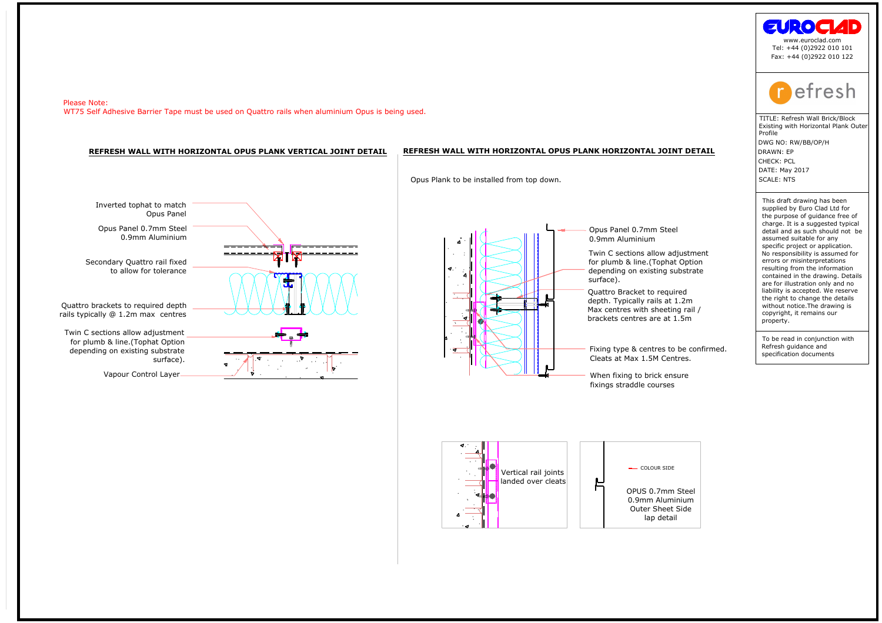

ded over clears When fixing to brick ensure fixing straddle courses and the courses of the panel of the panel of the panel of the courses of the matched over the courses of the courses of the course of the course of the co

**NK HORIZONTAL JOINT**<br>Opus Panel 0.7mm Steel<br>0.9mm Aluminium<br>Twin C sections allow adjus<br>for plumb & line.(Tophat O<sub>l</sub><br>depending on existing subs<br>surface).<br>Quattro Bracket to required **NK HORIZONTAL JOINT D**<br>Opus Panel 0.7mm Steel<br>0.9mm Aluminium<br>Twin C sections allow adjust<br>for plumb & line.(Tophat Opt<br>depending on existing substr<br>surface).<br>Quattro Bracket to required<br>depth. Typically rails at 1.2m Opus Panel 0.7mm Steel<br>0.9mm Aluminium<br>Twin C sections allow adjustme<br>for plumb & line.(Tophat Option<br>depending on existing substrate<br>surface).<br>Quattro Bracket to required<br>depth. Typically rails at 1.2m<br>Max centres with sh

**NK HORIZONTAL JOINT D**<br>Opus Panel 0.7mm Steel<br>0.9mm Aluminium<br>Twin C sections allow adjust<br>for plumb & line.(Tophat Opt<br>depending on existing substr<br>surface).<br>Quattro Bracket to required<br>Max centres with sheeting ra<br>brack depending on existing substrate<br>surface).<br>Quattro Bracket to required<br>epth. Typically rails at 1.2m<br>dax centres with sheeting rail /<br>prackets centres are at 1.5m<br>Fixing type & centres to be confirmed. surface).<br>Quattro Bracket to required<br>depth. Typically rails at 1.2m<br>dax centres with sheeting ra<br>prackets centres are at 1.5m<br>Fixing type & centres to be (<br>Cleats at Max 1.5M Centres.



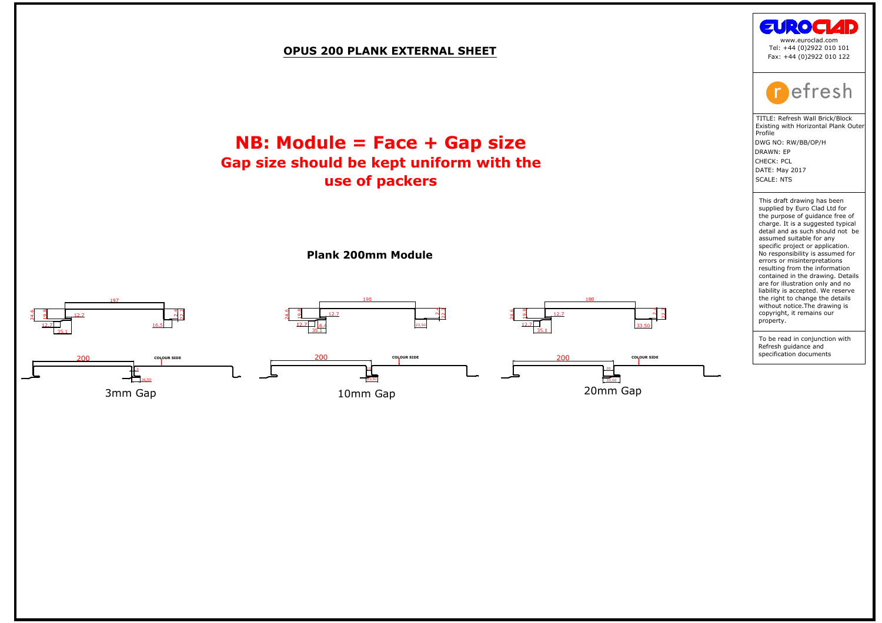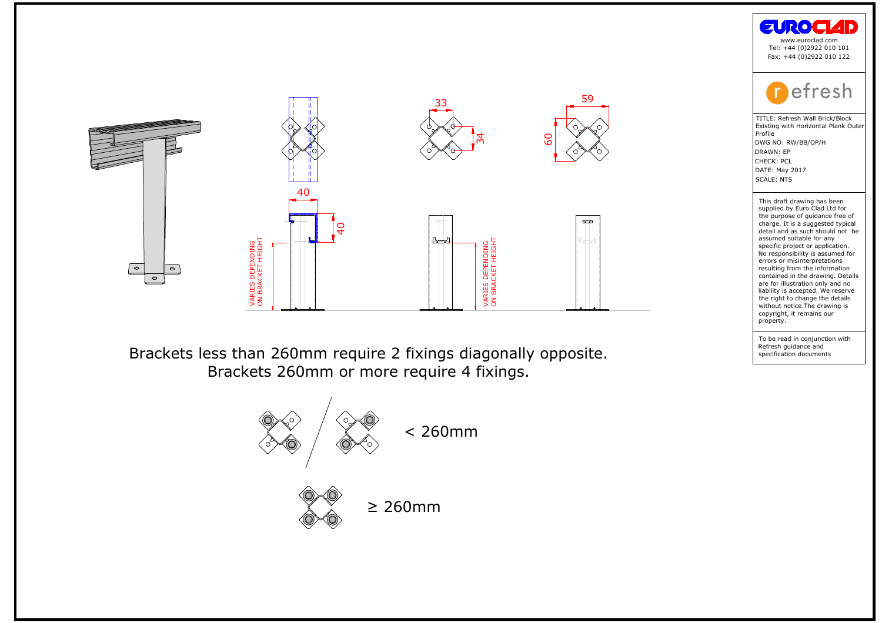





the purpose of guidance free compare of guidance free charge. It is a suggested typic<br>detail and as such should not<br>assumed suitable for any<br>conjunction project or application.<br>No responsibility is assumed ferrors or misin charge: it is a suggested<br>detail and as such shassumed suitable for<br>assumed suitable for applications of a proportion of<br>No responsibility is assemented in the draw<br>contained in the draw<br>and in the draw without notice. The